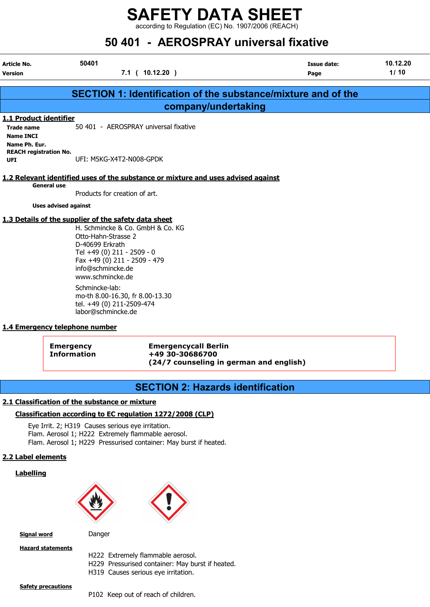according to Regulation (EC) No. 1907/2006 (REACH)

# $\overline{101}$   $\overline{10000000000}$

| 50.401 - AEROSPRAT UNIVERSALIJKATIVE                                             |                                                                                                                                                                                                                                           |                     |                            |                  |  |  |  |
|----------------------------------------------------------------------------------|-------------------------------------------------------------------------------------------------------------------------------------------------------------------------------------------------------------------------------------------|---------------------|----------------------------|------------------|--|--|--|
| Article No.<br><b>Version</b>                                                    | 50401<br>7.1(10.12.20)                                                                                                                                                                                                                    |                     | <b>Issue date:</b><br>Page | 10.12.20<br>1/10 |  |  |  |
|                                                                                  | <b>SECTION 1: Identification of the substance/mixture and of the</b>                                                                                                                                                                      |                     |                            |                  |  |  |  |
|                                                                                  |                                                                                                                                                                                                                                           | company/undertaking |                            |                  |  |  |  |
| 1.1 Product identifier<br><b>Trade name</b><br><b>Name INCI</b><br>Name Ph. Eur. | 50 401 - AEROSPRAY universal fixative                                                                                                                                                                                                     |                     |                            |                  |  |  |  |
| <b>REACH registration No.</b><br><b>UFI</b>                                      | UFI: M5KG-X4T2-N008-GPDK                                                                                                                                                                                                                  |                     |                            |                  |  |  |  |
| <b>General use</b>                                                               | 1.2 Relevant identified uses of the substance or mixture and uses advised against                                                                                                                                                         |                     |                            |                  |  |  |  |
|                                                                                  | Products for creation of art.                                                                                                                                                                                                             |                     |                            |                  |  |  |  |
| <b>Uses advised against</b>                                                      |                                                                                                                                                                                                                                           |                     |                            |                  |  |  |  |
|                                                                                  | 1.3 Details of the supplier of the safety data sheet<br>H. Schmincke & Co. GmbH & Co. KG<br>Otto-Hahn-Strasse 2<br>D-40699 Erkrath<br>Tel +49 (0) 211 - 2509 - 0<br>Fax +49 (0) 211 - 2509 - 479<br>info@schmincke.de<br>www.schmincke.de |                     |                            |                  |  |  |  |
| 1.4 Emergency telephone number                                                   | Schmincke-lab:<br>mo-th 8.00-16.30, fr 8.00-13.30<br>tel. +49 (0) 211-2509-474<br>labor@schmincke.de                                                                                                                                      |                     |                            |                  |  |  |  |
|                                                                                  |                                                                                                                                                                                                                                           |                     |                            |                  |  |  |  |

Emergency Emergencycall Berlin Information +49 30-30686700 (24/7 counseling in german and english)

### SECTION 2: Hazards identification

### 2.1 Classification of the substance or mixture

### Classification according to EC regulation 1272/2008 (CLP)

Eye Irrit. 2; H319 Causes serious eye irritation. Flam. Aerosol 1; H222 Extremely flammable aerosol. Flam. Aerosol 1; H229 Pressurised container: May burst if heated.

### 2.2 Label elements

### **Labelling**





Signal word Danger

**Hazard statements** 

- H222 Extremely flammable aerosol.
- H229 Pressurised container: May burst if heated.
- H319 Causes serious eye irritation.

**Safety precautions** 

P102 Keep out of reach of children.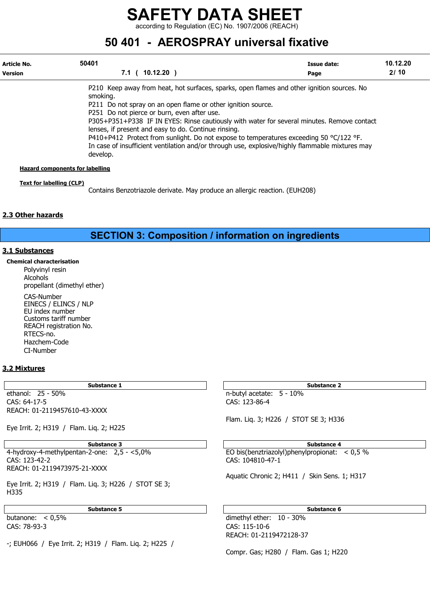according to Regulation (EC) No. 1907/2006 (REACH)

## 50 401 - AEROSPRAY universal fixative

| Article No.<br><b>Version</b>          | 50401<br>$10.12.20$ )<br>7.1                                                                               | Issue date:<br>Page | 10.12.20<br>2/10 |
|----------------------------------------|------------------------------------------------------------------------------------------------------------|---------------------|------------------|
|                                        | P210 Keep away from heat, hot surfaces, sparks, open flames and other ignition sources. No                 |                     |                  |
|                                        | smoking.                                                                                                   |                     |                  |
|                                        | P211 Do not spray on an open flame or other ignition source.                                               |                     |                  |
|                                        | P251 Do not pierce or burn, even after use.                                                                |                     |                  |
|                                        | P305+P351+P338 IF IN EYES: Rinse cautiously with water for several minutes. Remove contact                 |                     |                  |
|                                        | lenses, if present and easy to do. Continue rinsing.                                                       |                     |                  |
|                                        | P410+P412 Protect from sunlight. Do not expose to temperatures exceeding 50 $^{\circ}$ C/122 $^{\circ}$ F. |                     |                  |
|                                        | In case of insufficient ventilation and/or through use, explosive/highly flammable mixtures may            |                     |                  |
|                                        | develop.                                                                                                   |                     |                  |
| <b>Hazard components for labelling</b> |                                                                                                            |                     |                  |

#### Text for labelling (CLP)

Contains Benzotriazole derivate. May produce an allergic reaction. (EUH208)

### 2.3 Other hazards

SECTION 3: Composition / information on ingredients

#### 3.1 Substances

Chemical characterisation Polyvinyl resin Alcohols propellant (dimethyl ether) CAS-Number EINECS / ELINCS / NLP EU index number

Customs tariff number REACH registration No. RTECS-no. Hazchem-Code CI-Number

### 3.2 Mixtures

ethanol: 25 - 50% n-butyl acetate: 5 - 10% CAS: 64-17-5 CAS: 123-86-4 REACH: 01-2119457610-43-XXXX

Eye Irrit. 2; H319 / Flam. Liq. 2; H225

REACH: 01-2119473975-21-XXXX

Eye Irrit. 2; H319 / Flam. Liq. 3; H226 / STOT SE 3; H335

CAS: 78-93-3 CAS: 115-10-6

-; EUH066 / Eye Irrit. 2; H319 / Flam. Liq. 2; H225 /

Substance 1 Substance 2 Substance 2

Flam. Liq. 3; H226 / STOT SE 3; H336

Substance 3 Substance 4 4-hydroxy-4-methylpentan-2-one: 2,5 - <5,0% EO bis(benztriazolyl)phenylpropionat: < 0,5 % CAS: 123-42-2 CAS: 104810-47-1

Aquatic Chronic 2; H411 / Skin Sens. 1; H317

Substance 5 Substance 6 Substance 6 Substance 6 Substance 6 Substance 6 Substance 6 Substance 6 Substance 6 Su

butanone: < 0,5% dimethyl ether: 10 - 30% REACH: 01-2119472128-37

Compr. Gas; H280 / Flam. Gas 1; H220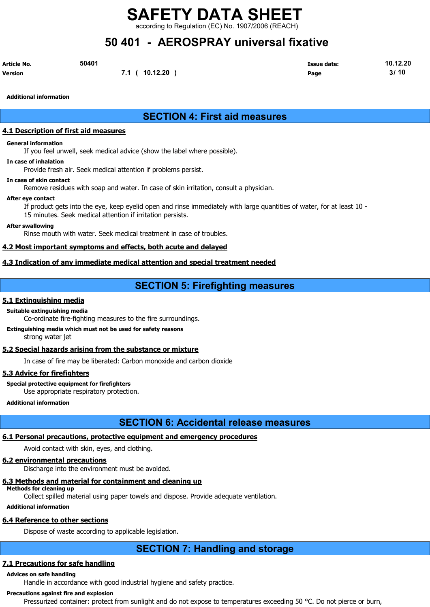rding to Regulation (EC) No. 1907/2006 (REACH)

# 50 401 - AEROSPRAY universal fixative

| Article No. | 50401 |                | <b>Issue date:</b> | 10.12.20 |
|-------------|-------|----------------|--------------------|----------|
| Version     |       | 7.1 ( 10.12.20 | Page               | 3/10     |

Additional information

### SECTION 4: First aid measures

### 4.1 Description of first aid measures

#### General information

If you feel unwell, seek medical advice (show the label where possible).

#### In case of inhalation

Provide fresh air. Seek medical attention if problems persist.

#### In case of skin contact

Remove residues with soap and water. In case of skin irritation, consult a physician.

#### After eye contact

If product gets into the eye, keep eyelid open and rinse immediately with large quantities of water, for at least 10 - 15 minutes. Seek medical attention if irritation persists.

#### After swallowing

Rinse mouth with water. Seek medical treatment in case of troubles.

### 4.2 Most important symptoms and effects, both acute and delayed

### 4.3 Indication of any immediate medical attention and special treatment needed

### SECTION 5: Firefighting measures

### 5.1 Extinguishing media

### Suitable extinguishing media

Co-ordinate fire-fighting measures to the fire surroundings.

#### Extinguishing media which must not be used for safety reasons strong water jet

### 5.2 Special hazards arising from the substance or mixture

In case of fire may be liberated: Carbon monoxide and carbon dioxide

### 5.3 Advice for firefighters

#### Special protective equipment for firefighters

Use appropriate respiratory protection.

Additional information

### SECTION 6: Accidental release measures

### 6.1 Personal precautions, protective equipment and emergency procedures

Avoid contact with skin, eyes, and clothing.

### 6.2 environmental precautions

Discharge into the environment must be avoided.

### 6.3 Methods and material for containment and cleaning up

Methods for cleaning up Collect spilled material using paper towels and dispose. Provide adequate ventilation.

### Additional information

### 6.4 Reference to other sections

Dispose of waste according to applicable legislation.

## SECTION 7: Handling and storage

### 7.1 Precautions for safe handling

### Advices on safe handling

Handle in accordance with good industrial hygiene and safety practice.

### Precautions against fire and explosion

Pressurized container: protect from sunlight and do not expose to temperatures exceeding 50 °C. Do not pierce or burn,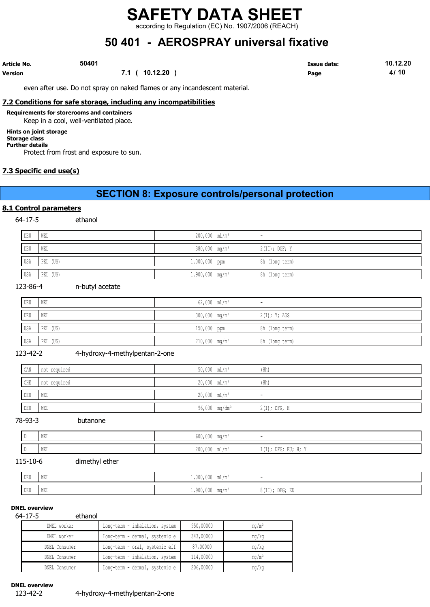according to Regulation (EC) No. 1907/2006 (REACH)

# 50 401 - AEROSPRAY universal fixative

| Article No.    | 50401          | <b>Issue date:</b> | 10.12.20 |
|----------------|----------------|--------------------|----------|
| <b>Version</b> | 7.1 ( 10.12.20 | Page               | 4/10     |

even after use. Do not spray on naked flames or any incandescent material.

### 7.2 Conditions for safe storage, including any incompatibilities

Requirements for storerooms and containers

Keep in a cool, well-ventilated place.

### Hints on joint storage

#### Storage class Further details

Protect from frost and exposure to sun.

### 7.3 Specific end use(s)

### SECTION 8: Exposure controls/personal protection

### 8.1 Control parameters

64-17-5 ethanol

| DEU | WEL      | $200,000$ $mL/m^3$            |                 |
|-----|----------|-------------------------------|-----------------|
| DEU | WEL      | $380,000$ mg/m <sup>3</sup>   | $2(II);$ DGF; Y |
| USA | PEL (US) | $1.000,000$ ppm               | 8h (long term)  |
| USA | PEL (US) | $1.900,000$ mg/m <sup>3</sup> | 8h (long term)  |

#### 123-86-4 n-butyl acetate

| DEU | WEL      | $62,000$ $mL/m^3$           |                |
|-----|----------|-----------------------------|----------------|
| DEU | WEL      | $300,000$ mg/m <sup>3</sup> | 2(I); Y; AGS   |
| USA | PEL (US) | 150,000 ppm                 | 8h (long term) |
| USA | PEL (US) | 710,000 mg/m <sup>3</sup>   | 8h (long term) |

### 123-42-2 4-hydroxy-4-methylpentan-2-one

| CAN                              | not required | $50,000$ $mL/m^3$ | (8h)           |
|----------------------------------|--------------|-------------------|----------------|
| ${\tt CHE}$                      | not required | $20,000$ $mL/m^3$ | (8h)           |
| $\mathbb{D}\mathbb{E}\mathbb{U}$ | WEL          | $20,000$ $mL/m^3$ |                |
| $\mathop{\rm DEU}\nolimits$      | WEL          | 96,000 $mg/dm3$   | $2(I);$ DFG, H |

78-93-3 butanone

| D | $\mathtt{WEL}$ | $500.000$ $\frac{1}{2}$ $\frac{1}{2}$ $\frac{1}{2}$ $\frac{1}{2}$ $\frac{1}{2}$ $\frac{1}{2}$ $\frac{1}{2}$ $\frac{1}{2}$ $\frac{1}{2}$ $\frac{1}{2}$ $\frac{1}{2}$ $\frac{1}{2}$ $\frac{1}{2}$ $\frac{1}{2}$ $\frac{1}{2}$ $\frac{1}{2}$ $\frac{1}{2}$ $\frac{1}{2}$ $\frac{1}{2}$ $\frac{1}{2}$ $\frac{1}{2}$<br>$000,000$ Music Music Music Music Music Music Music Music Music Music Music Music Music Music Music Music Music Music Music Music Music Music Music Music Music Music Music Music Music Music Music Music Music Music Music M |                          |
|---|----------------|--------------------------------------------------------------------------------------------------------------------------------------------------------------------------------------------------------------------------------------------------------------------------------------------------------------------------------------------------------------------------------------------------------------------------------------------------------------------------------------------------------------------------------------------------|--------------------------|
| D | WEL            | $\sim$ 000 000 $\sim$<br>$200,000$ $\mu$ $\mu$ $\mu$                                                                                                                                                                                                                                                                                                                                                                                                                                                                                             | $1(I);$ DFG;<br>EU; H; Y |

### 115-10-6

| dimethyl ether |  |
|----------------|--|

| DEU | WEL | $1.000,000$   mL/m <sup>3</sup> |                      |                                     |
|-----|-----|---------------------------------|----------------------|-------------------------------------|
| DEU | WEL | 1.900,000                       | $\text{mg}/\text{m}$ | $0.1 + 1.1$<br>); DFG; EU<br>8(11); |

#### DNEL overview

#### 64-17-5 ethanol

| .<br>-------  |                                |           |          |
|---------------|--------------------------------|-----------|----------|
| DNEL worker   | Long-term - inhalation, system | 950,00000 | $mq/m^3$ |
| DNEL worker   | Long-term - dermal, systemic e | 343,00000 | mq/kg    |
| DNEL Consumer | Long-term - oral, systemic eff | 87,00000  | mq/kg    |
| DNEL Consumer | Long-term - inhalation, system | 114,00000 | $mq/m^3$ |
| DNEL Consumer | Long-term - dermal, systemic e | 206,00000 | mq/kg    |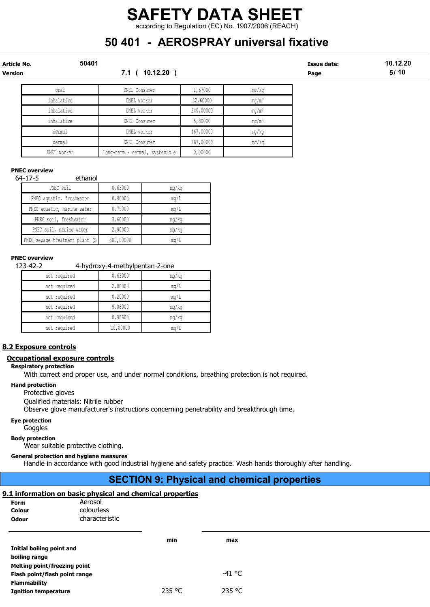### SAFETY DATA SHEET according to Regulation (EC) No. 1907/2006 (REACH)

# 50 401 - AEROSPRAY universal fixative

| Article No.<br><b>Version</b> | 50401       | $10.12.20$ )<br>7.1 (          |           |                   | <b>Issue date:</b><br>Page | 10.12.20<br>5/10 |
|-------------------------------|-------------|--------------------------------|-----------|-------------------|----------------------------|------------------|
|                               | oral        | DNEL Consumer                  | 1,67000   | mg/kg             |                            |                  |
|                               | inhalative  | DNEL worker                    | 32,60000  | $mg/m^3$          |                            |                  |
|                               | inhalative  | DNEL worker                    | 240,00000 | $mg/m^3$          |                            |                  |
|                               | inhalative  | DNEL Consumer                  | 5,80000   | mg/m <sup>3</sup> |                            |                  |
|                               | dermal      | DNEL worker                    | 467,00000 | mg/kg             |                            |                  |
|                               | dermal      | DNEL Consumer                  | 167,00000 | mg/kg             |                            |                  |
|                               | DNEL worker | Long-term - dermal, systemic e | 0,00000   |                   |                            |                  |

### PNEC overview

#### 64-17-5 ethanol

| PNEC soil                       | 0,63000   | mq/kg |
|---------------------------------|-----------|-------|
| PNEC aquatic, freshwater        | 0,96000   | mq/L  |
| PNEC aquatic, marine water      | 0,79000   | mq/L  |
| PNEC soil, freshwater           | 3,60000   | mg/kg |
| PNEC soil, marine water         | 2,90000   | mg/kg |
| PNEC sewage treatment plant (S) | 580,00000 | mq/L  |

### PNEC overview

123-42-2 4-hydroxy-4-methylpentan-2-one

| not required | 0,63000  | mg/kg |
|--------------|----------|-------|
| not required | 2,00000  | mq/L  |
| not required | 0,20000  | mg/L  |
| not required | 9,06000  | mg/kg |
| not required | 0,90600  | mq/kg |
| not required | 10,00000 | mq/L  |

### 8.2 Exposure controls

#### Occupational exposure controls

Respiratory protection

With correct and proper use, and under normal conditions, breathing protection is not required.

#### Hand protection

Protective gloves

Qualified materials: Nitrile rubber

Observe glove manufacturer's instructions concerning penetrability and breakthrough time.

### Eye protection

Goggles

Body protection

Wear suitable protective clothing.

### General protection and hygiene measures

Handle in accordance with good industrial hygiene and safety practice. Wash hands thoroughly after handling.

### SECTION 9: Physical and chemical properties

### 9.1 information on basic physical and chemical properties

| Form<br>Colour<br><b>Odour</b> | Aerosol<br>colourless<br>characteristic |        |          |  |
|--------------------------------|-----------------------------------------|--------|----------|--|
|                                |                                         | min    | max      |  |
| Initial boiling point and      |                                         |        |          |  |
| boiling range                  |                                         |        |          |  |
| Melting point/freezing point   |                                         |        |          |  |
| Flash point/flash point range  |                                         |        | $-41$ °C |  |
| <b>Flammability</b>            |                                         |        |          |  |
| <b>Ignition temperature</b>    |                                         | 235 °C | 235 °C   |  |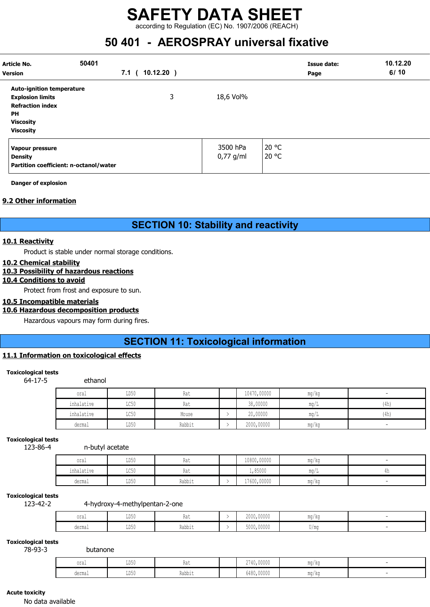### SAFETY DATA SHEET according to Regulation (EC) No. 1907/2006 (REACH)

## 50 401 - AEROSPRAY universal fixative

| Article No.<br>Version                                                                                                                      | 50401<br>7.1 <sup>1</sup> | $10.12.20$ ) |                         | <b>Issue date:</b><br>Page | 10.12.20<br>6/10 |
|---------------------------------------------------------------------------------------------------------------------------------------------|---------------------------|--------------|-------------------------|----------------------------|------------------|
| <b>Auto-ignition temperature</b><br><b>Explosion limits</b><br><b>Refraction index</b><br><b>PH</b><br><b>Viscosity</b><br><b>Viscosity</b> |                           | 3            | 18,6 Vol%               |                            |                  |
| Vapour pressure<br><b>Density</b><br>Partition coefficient: n-octanol/water                                                                 |                           |              | 3500 hPa<br>$0,77$ g/ml | 20 °C<br>20 °C             |                  |

Danger of explosion

### 9.2 Other information

### SECTION 10: Stability and reactivity

### 10.1 Reactivity

Product is stable under normal storage conditions.

### 10.2 Chemical stability

### 10.3 Possibility of hazardous reactions

### 10.4 Conditions to avoid

Protect from frost and exposure to sun.

### 10.5 Incompatible materials

### 10.6 Hazardous decomposition products

Hazardous vapours may form during fires.

### SECTION 11: Toxicological information

### 11.1 Information on toxicological effects

### Toxicological tests

64-17-5 ethanol

| oral       | LD50 | Rat    | 10470,00000 | mg/kg |      |
|------------|------|--------|-------------|-------|------|
| inhalative | LC50 | Rat    | 38,00000    | ma/L  | (4h) |
| inhalative | LC50 | Mouse  | 20,00000    | mq/L  | (4h) |
| dermal     | LD50 | Rabbit | 2000,00000  | mg/kg |      |

#### Toxicological tests

123-86-4 n-butyl acetate

| oral       | LD50 | na i   | 10800,00000 | mg/kg |  |
|------------|------|--------|-------------|-------|--|
| inhalative | LC50 | na i   | 1,85000     | mq/L  |  |
| dermal     | LD50 | Rabbit | 17600,00000 | mg/kg |  |

#### Toxicological tests

123-42-2 4-hydroxy-4-methylpentan-2-one

| $\sim$ $\sim$ $\sim$<br>∪⊥a⊥ | TDL.<br>יטעע | <b>TIMA</b> | 2000,00000 | mg/kg               |  |
|------------------------------|--------------|-------------|------------|---------------------|--|
| dermal                       | TIME.<br>╜┚┙ | Rabbit      | 5000,00000 | $T$ $\sim$<br>V / W |  |

#### Toxicological tests 78-93-3

| oral   | LD50 | 1101 <sub>1</sub> | 2740,00000 | MA ALL<br>ma/ka |  |
|--------|------|-------------------|------------|-----------------|--|
| dermal | LD50 | .<br>Rabbit       | 6480,00000 | mg/kg           |  |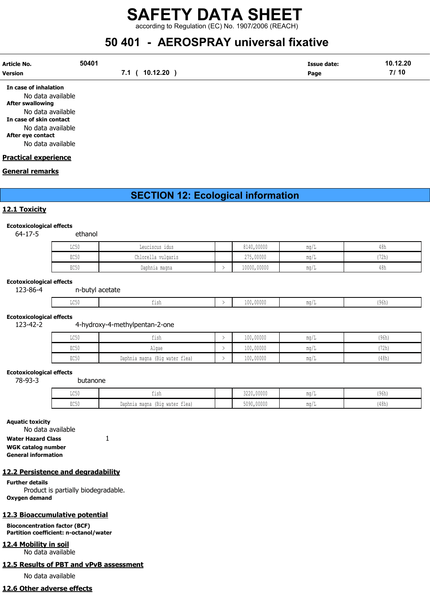according to Regulation (EC) No. 1907/2006 (REACH)

# 50 401 - AEROSPRAY universal fixative

| Article No.           | 50401          | Issue date: | 10.12.20 |
|-----------------------|----------------|-------------|----------|
| Version               | 7.1 ( 10.12.20 | Page        | 7/10     |
| In case of inhalation |                |             |          |

No data available After swallowing No data available In case of skin contact No data available After eye contact No data available

#### Practical experience

#### General remarks

### SECTION 12: Ecological information

#### 12.1 Toxicity

#### Ecotoxicological effects

64-17-5 ethanol

| LC50 | Leuciscus idus     | 8140,00000  | mq/L | 48h  |
|------|--------------------|-------------|------|------|
| EC50 | Chlorella vulgaris | 275,00000   | mq/L | '72h |
| EC50 | Daphnia magna      | 10000,00000 | ma/L | 48h  |

#### Ecotoxicological effects

123-86-4 n-butyl acetate

| $T \cap E$<br>コへつい | $-1$<br>--- | 100,00000 | $\sim$ $\sim$<br>IYON. |
|--------------------|-------------|-----------|------------------------|
|                    |             |           |                        |

#### Ecotoxicological effects

123-42-2 4-hydroxy-4-methylpentan-2-one

| $T \cap E$<br>コレフハ      | tısh                           | 100,00000 | ma/                   | (96h) |
|-------------------------|--------------------------------|-----------|-----------------------|-------|
| $P \cap E \cap$<br>むしつり | Algae                          | 100,00000 | $\text{max}/$         | '72h  |
| PCKC<br>むしりり            | Daphnia magna (Big water flea) | 100,00000 | $\text{max}/\text{I}$ | (48h) |

#### Ecotoxicological effects

78-93-3 butanone

| $T \cap E$<br>コンソリ | tısh                                       | 3220,00000 | $m \sim$<br>uu i     | (96h) |
|--------------------|--------------------------------------------|------------|----------------------|-------|
| $P \cap E$<br>コンマク | $-$<br>Daphnia magna<br>. (Biq water flea) | 5090,00000 | $m \sim$<br>Illu / . | (48h) |

#### Aquatic toxicity

No data available Water Hazard Class 1

WGK catalog number

General information

### 12.2 Persistence and degradability

Further details

Product is partially biodegradable. Oxygen demand

### 12.3 Bioaccumulative potential

Bioconcentration factor (BCF) Partition coefficient: n-octanol/water

### 12.4 Mobility in soil

No data available

## 12.5 Results of PBT and vPvB assessment

No data available

## 12.6 Other adverse effects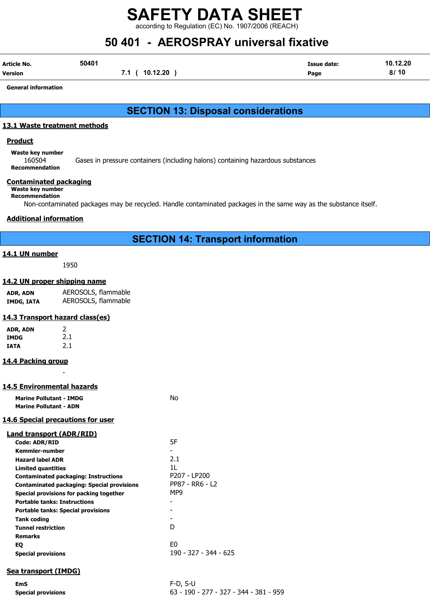according to Regulation (EC) No. 1907/2006 (REACH)

# 50 401 - AEROSPRAY universal fixative

| Article No.    | 50401 |                | <b>Issue date:</b> | 10.12.20 |
|----------------|-------|----------------|--------------------|----------|
| <b>Version</b> |       | 7.1 ( 10.12.20 | Page               | 8/10     |

General information

### SECTION 13: Disposal considerations

### 13.1 Waste treatment methods

#### **Product**

Waste key number 160504 Gases in pressure containers (including halons) containing hazardous substances Recommendation

### Contaminated packaging

Waste key number Recommendation

Non-contaminated packages may be recycled. Handle contaminated packages in the same way as the substance itself.

### Additional information

### SECTION 14: Transport information

### 14.1 UN number

1950

### 14.2 UN proper shipping name

| ADR, ADN   | AEROSOLS, flammable |
|------------|---------------------|
| IMDG, IATA | AEROSOLS, flammable |

### 14.3 Transport hazard class(es)

| ADR, ADN | 2   |
|----------|-----|
| IMDG     | 2.1 |
| IATA     | 2.1 |

### 14.4 Packing group

### 14.5 Environmental hazards

| <b>Marine Pollutant - IMDG</b> | Nο |
|--------------------------------|----|
| <b>Marine Pollutant - ADN</b>  |    |

-

### 14.6 Special precautions for user

| Land transport (ADR/RID)                          |                       |
|---------------------------------------------------|-----------------------|
| Code: ADR/RID                                     | 5F                    |
| Kemmler-number                                    |                       |
| <b>Hazard label ADR</b>                           | 2.1                   |
| <b>Limited quantities</b>                         | 11.                   |
| <b>Contaminated packaging: Instructions</b>       | P207 - LP200          |
| <b>Contaminated packaging: Special provisions</b> | PP87 - RR6 - L2       |
| Special provisions for packing together           | MP9                   |
| <b>Portable tanks: Instructions</b>               |                       |
| <b>Portable tanks: Special provisions</b>         |                       |
| Tank coding                                       |                       |
| <b>Tunnel restriction</b>                         | D                     |
| <b>Remarks</b>                                    |                       |
| EQ                                                | E0                    |
| <b>Special provisions</b>                         | 190 - 327 - 344 - 625 |
|                                                   |                       |

### Sea transport (IMDG)

EmS F-D, S-U Special provisions 63 - 190 - 277 - 327 - 344 - 381 - 959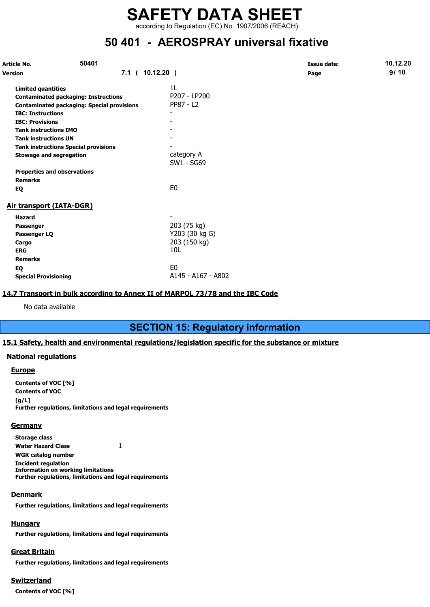according to Regulation (EC) No. 1907/2006 (REACH)

## 50 401 - AEROSPRAY universal fixative

| 50401<br>Article No.<br><b>Version</b> |                                                   |                          | <b>Issue date:</b> | 10.12.20 |
|----------------------------------------|---------------------------------------------------|--------------------------|--------------------|----------|
|                                        |                                                   | 7.1(10.12.20)            | Page               | 9/10     |
| <b>Limited quantities</b>              |                                                   | 1L                       |                    |          |
|                                        | <b>Contaminated packaging: Instructions</b>       | P207 - LP200             |                    |          |
|                                        | <b>Contaminated packaging: Special provisions</b> | PP87 - L2                |                    |          |
| <b>IBC: Instructions</b>               |                                                   |                          |                    |          |
| <b>IBC: Provisions</b>                 |                                                   |                          |                    |          |
| <b>Tank instructions IMO</b>           |                                                   |                          |                    |          |
| <b>Tank instructions UN</b>            |                                                   |                          |                    |          |
|                                        | <b>Tank instructions Special provisions</b>       |                          |                    |          |
| <b>Stowage and segregation</b>         |                                                   | category A<br>SW1 - SG69 |                    |          |
| <b>Properties and observations</b>     |                                                   |                          |                    |          |
| <b>Remarks</b>                         |                                                   |                          |                    |          |
| EQ                                     |                                                   | E <sub>0</sub>           |                    |          |
| Air transport (IATA-DGR)               |                                                   |                          |                    |          |
| <b>Hazard</b>                          |                                                   |                          |                    |          |
| Passenger                              |                                                   | 203 (75 kg)              |                    |          |
| Passenger LQ                           |                                                   | Y203 (30 kg G)           |                    |          |
| Cargo                                  |                                                   | 203 (150 kg)             |                    |          |
| <b>ERG</b>                             |                                                   | 10 <sub>L</sub>          |                    |          |
| <b>Remarks</b>                         |                                                   |                          |                    |          |
| EQ                                     |                                                   | E <sub>0</sub>           |                    |          |
| <b>Special Provisioning</b>            |                                                   | A145 - A167 - A802       |                    |          |

### 14.7 Transport in bulk according to Annex II of MARPOL 73/78 and the IBC Code

No data available

### SECTION 15: Regulatory information

### 15.1 Safety, health and environmental regulations/legislation specific for the substance or mixture

### National regulations

#### **Europe**

Contents of VOC [%] Contents of VOC  $[a/L]$ Further regulations, limitations and legal requirements

#### **Germany**

Storage class Water Hazard Class 1 WGK catalog number Incident regulation Information on working limitations Further regulations, limitations and legal requirements

### **Denmark**

Further regulations, limitations and legal requirements

### **Hungary**

Further regulations, limitations and legal requirements

### Great Britain

Further regulations, limitations and legal requirements

### Switzerland

Contents of VOC [%]